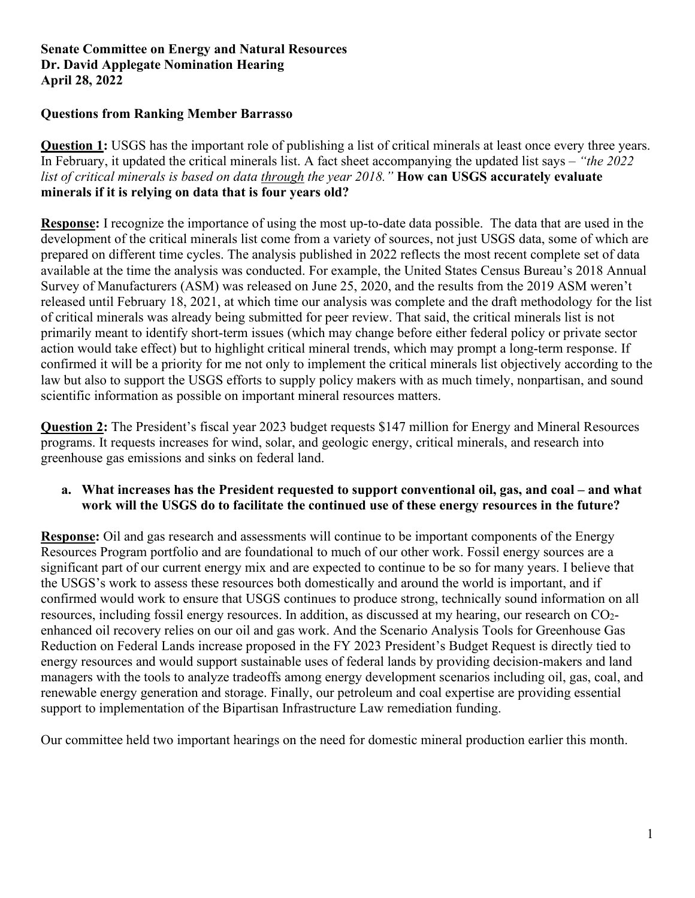# **Questions from Ranking Member Barrasso**

**Question 1:** USGS has the important role of publishing a list of critical minerals at least once every three years. In February, it updated the critical minerals list. A fact sheet accompanying the updated list says – *"the 2022 list of critical minerals is based on data through the year 2018."* **How can USGS accurately evaluate minerals if it is relying on data that is four years old?** 

**Response:** I recognize the importance of using the most up-to-date data possible. The data that are used in the development of the critical minerals list come from a variety of sources, not just USGS data, some of which are prepared on different time cycles. The analysis published in 2022 reflects the most recent complete set of data available at the time the analysis was conducted. For example, the United States Census Bureau's 2018 Annual Survey of Manufacturers (ASM) was released on June 25, 2020, and the results from the 2019 ASM weren't released until February 18, 2021, at which time our analysis was complete and the draft methodology for the list of critical minerals was already being submitted for peer review. That said, the critical minerals list is not primarily meant to identify short-term issues (which may change before either federal policy or private sector action would take effect) but to highlight critical mineral trends, which may prompt a long-term response. If confirmed it will be a priority for me not only to implement the critical minerals list objectively according to the law but also to support the USGS efforts to supply policy makers with as much timely, nonpartisan, and sound scientific information as possible on important mineral resources matters.

**Question 2:** The President's fiscal year 2023 budget requests \$147 million for Energy and Mineral Resources programs. It requests increases for wind, solar, and geologic energy, critical minerals, and research into greenhouse gas emissions and sinks on federal land.

# **a. What increases has the President requested to support conventional oil, gas, and coal – and what work will the USGS do to facilitate the continued use of these energy resources in the future?**

**Response:** Oil and gas research and assessments will continue to be important components of the Energy Resources Program portfolio and are foundational to much of our other work. Fossil energy sources are a significant part of our current energy mix and are expected to continue to be so for many years. I believe that the USGS's work to assess these resources both domestically and around the world is important, and if confirmed would work to ensure that USGS continues to produce strong, technically sound information on all resources, including fossil energy resources. In addition, as discussed at my hearing, our research on CO2 enhanced oil recovery relies on our oil and gas work. And the Scenario Analysis Tools for Greenhouse Gas Reduction on Federal Lands increase proposed in the FY 2023 President's Budget Request is directly tied to energy resources and would support sustainable uses of federal lands by providing decision-makers and land managers with the tools to analyze tradeoffs among energy development scenarios including oil, gas, coal, and renewable energy generation and storage. Finally, our petroleum and coal expertise are providing essential support to implementation of the Bipartisan Infrastructure Law remediation funding.

Our committee held two important hearings on the need for domestic mineral production earlier this month.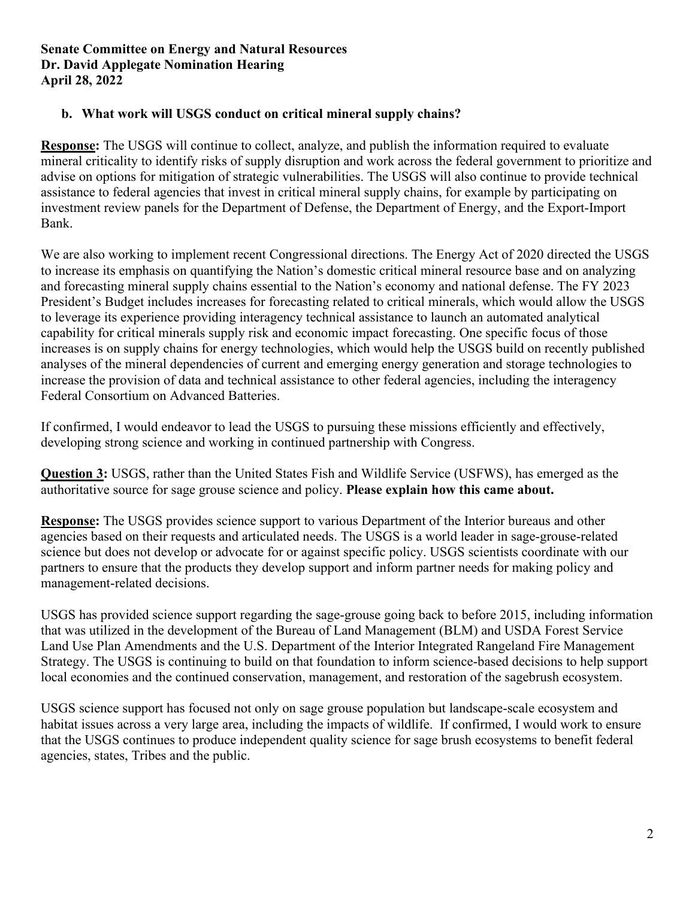# **b. What work will USGS conduct on critical mineral supply chains?**

**Response:** The USGS will continue to collect, analyze, and publish the information required to evaluate mineral criticality to identify risks of supply disruption and work across the federal government to prioritize and advise on options for mitigation of strategic vulnerabilities. The USGS will also continue to provide technical assistance to federal agencies that invest in critical mineral supply chains, for example by participating on investment review panels for the Department of Defense, the Department of Energy, and the Export-Import Bank.

We are also working to implement recent Congressional directions. The Energy Act of 2020 directed the USGS to increase its emphasis on quantifying the Nation's domestic critical mineral resource base and on analyzing and forecasting mineral supply chains essential to the Nation's economy and national defense. The FY 2023 President's Budget includes increases for forecasting related to critical minerals, which would allow the USGS to leverage its experience providing interagency technical assistance to launch an automated analytical capability for critical minerals supply risk and economic impact forecasting. One specific focus of those increases is on supply chains for energy technologies, which would help the USGS build on recently published analyses of the mineral dependencies of current and emerging energy generation and storage technologies to increase the provision of data and technical assistance to other federal agencies, including the interagency Federal Consortium on Advanced Batteries.

If confirmed, I would endeavor to lead the USGS to pursuing these missions efficiently and effectively, developing strong science and working in continued partnership with Congress.

**Question 3:** USGS, rather than the United States Fish and Wildlife Service (USFWS), has emerged as the authoritative source for sage grouse science and policy. **Please explain how this came about.**

**Response:** The USGS provides science support to various Department of the Interior bureaus and other agencies based on their requests and articulated needs. The USGS is a world leader in sage-grouse-related science but does not develop or advocate for or against specific policy. USGS scientists coordinate with our partners to ensure that the products they develop support and inform partner needs for making policy and management-related decisions.

USGS has provided science support regarding the sage-grouse going back to before 2015, including information that was utilized in the development of the Bureau of Land Management (BLM) and USDA Forest Service Land Use Plan Amendments and the U.S. Department of the Interior Integrated Rangeland Fire Management Strategy. The USGS is continuing to build on that foundation to inform science-based decisions to help support local economies and the continued conservation, management, and restoration of the sagebrush ecosystem.

USGS science support has focused not only on sage grouse population but landscape-scale ecosystem and habitat issues across a very large area, including the impacts of wildlife. If confirmed, I would work to ensure that the USGS continues to produce independent quality science for sage brush ecosystems to benefit federal agencies, states, Tribes and the public.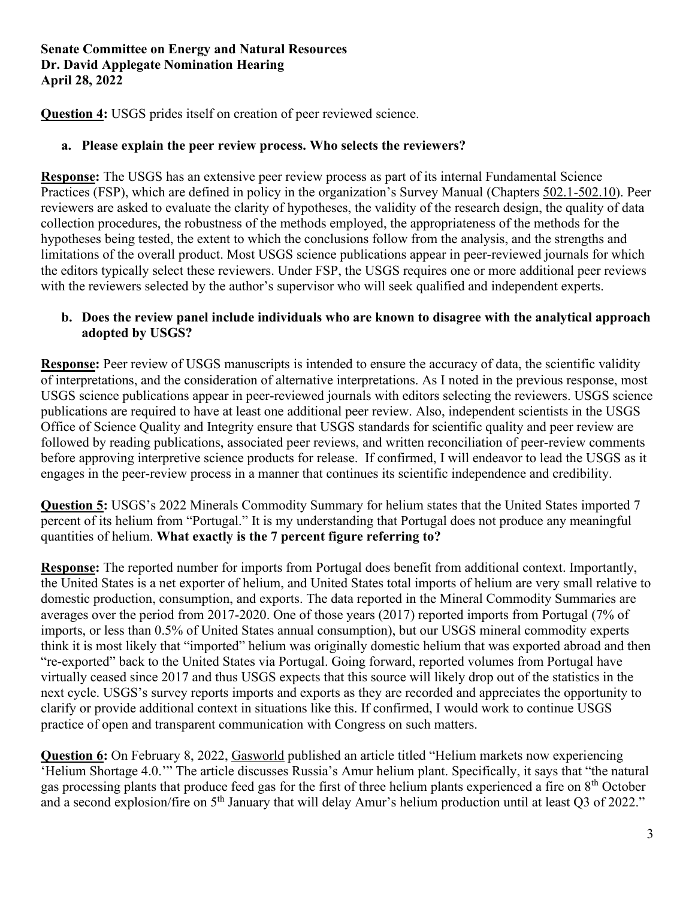**Question 4:** USGS prides itself on creation of peer reviewed science.

## **a. Please explain the peer review process. Who selects the reviewers?**

**Response:** The USGS has an extensive peer review process as part of its internal Fundamental Science Practices (FSP), which are defined in policy in the organization's Survey Manual (Chapters [502.1-502.10\)](https://www.usgs.gov/survey-manual/program-series-5001-11007#FUNDAMENTAL%20SCIENCE%20PRACTICES%C2%A0). Peer reviewers are asked to evaluate the clarity of hypotheses, the validity of the research design, the quality of data collection procedures, the robustness of the methods employed, the appropriateness of the methods for the hypotheses being tested, the extent to which the conclusions follow from the analysis, and the strengths and limitations of the overall product. Most USGS science publications appear in peer-reviewed journals for which the editors typically select these reviewers. Under FSP, the USGS requires one or more additional peer reviews with the reviewers selected by the author's supervisor who will seek qualified and independent experts.

## **b. Does the review panel include individuals who are known to disagree with the analytical approach adopted by USGS?**

**Response:** Peer review of USGS manuscripts is intended to ensure the accuracy of data, the scientific validity of interpretations, and the consideration of alternative interpretations. As I noted in the previous response, most USGS science publications appear in peer-reviewed journals with editors selecting the reviewers. USGS science publications are required to have at least one additional peer review. Also, independent scientists in the USGS Office of Science Quality and Integrity ensure that USGS standards for scientific quality and peer review are followed by reading publications, associated peer reviews, and written reconciliation of peer-review comments before approving interpretive science products for release. If confirmed, I will endeavor to lead the USGS as it engages in the peer-review process in a manner that continues its scientific independence and credibility.

**Question 5:** USGS's 2022 Minerals Commodity Summary for helium states that the United States imported 7 percent of its helium from "Portugal." It is my understanding that Portugal does not produce any meaningful quantities of helium. **What exactly is the 7 percent figure referring to?**

**Response:** The reported number for imports from Portugal does benefit from additional context. Importantly, the United States is a net exporter of helium, and United States total imports of helium are very small relative to domestic production, consumption, and exports. The data reported in the Mineral Commodity Summaries are averages over the period from 2017-2020. One of those years (2017) reported imports from Portugal (7% of imports, or less than 0.5% of United States annual consumption), but our USGS mineral commodity experts think it is most likely that "imported" helium was originally domestic helium that was exported abroad and then "re-exported" back to the United States via Portugal. Going forward, reported volumes from Portugal have virtually ceased since 2017 and thus USGS expects that this source will likely drop out of the statistics in the next cycle. USGS's survey reports imports and exports as they are recorded and appreciates the opportunity to clarify or provide additional context in situations like this. If confirmed, I would work to continue USGS practice of open and transparent communication with Congress on such matters.

**Question 6:** On February 8, 2022, [Gasworld](https://www.gasworld.com/helium-markets-now-experiencing-helium-shortage-40/2022650.article) published an article titled "Helium markets now experiencing 'Helium Shortage 4.0.'" The article discusses Russia's Amur helium plant. Specifically, it says that "the natural gas processing plants that produce feed gas for the first of three helium plants experienced a fire on 8th October and a second explosion/fire on 5<sup>th</sup> January that will delay Amur's helium production until at least Q3 of 2022."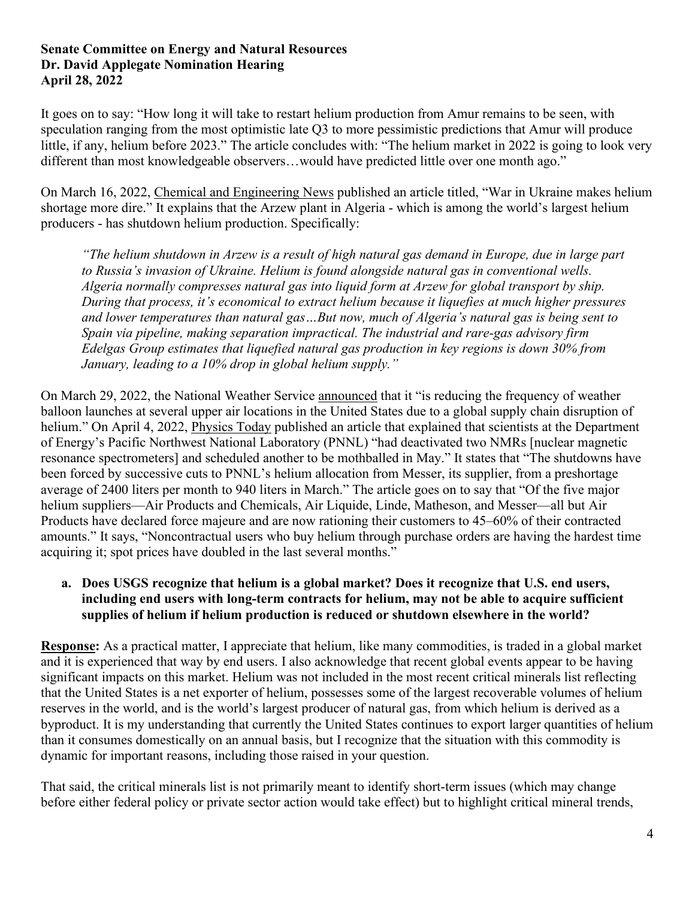It goes on to say: "How long it will take to restart helium production from Amur remains to be seen, with speculation ranging from the most optimistic late Q3 to more pessimistic predictions that Amur will produce little, if any, helium before 2023." The article concludes with: "The helium market in 2022 is going to look very different than most knowledgeable observers…would have predicted little over one month ago."

On March 16, 2022, [Chemical and Engineering News](https://cen.acs.org/business/specialty-chemicals/War-Ukraine-makes-helium-shortage-more-dire/100/i10) published an article titled, "War in Ukraine makes helium shortage more dire." It explains that the Arzew plant in Algeria - which is among the world's largest helium producers - has shutdown helium production. Specifically:

*"The helium shutdown in Arzew is a result of high natural gas demand in Europe, due in large part to Russia's invasion of Ukraine. Helium is found alongside natural gas in conventional wells. Algeria normally compresses natural gas into liquid form at Arzew for global transport by ship. During that process, it's economical to extract helium because it liquefies at much higher pressures and lower temperatures than natural gas…But now, much of Algeria's natural gas is being sent to Spain via pipeline, making separation impractical. The industrial and rare-gas advisory firm Edelgas Group estimates that liquefied natural gas production in key regions is down 30% from January, leading to a 10% drop in global helium supply."* 

On March 29, 2022, the National Weather Service [announced](https://www.weather.gov/media/notification/pdf2/pns22-17_weather_balloon_launch_frequency.pdf) that it "is reducing the frequency of weather balloon launches at several upper air locations in the United States due to a global supply chain disruption of helium." On April 4, 2022, [Physics Today](https://physicstoday.scitation.org/do/10.1063/PT.6.2.20220404a/full/) published an article that explained that scientists at the Department of Energy's Pacific Northwest National Laboratory (PNNL) "had deactivated two NMRs [nuclear magnetic resonance spectrometers] and scheduled another to be mothballed in May." It states that "The shutdowns have been forced by successive cuts to PNNL's helium allocation from Messer, its supplier, from a preshortage average of 2400 liters per month to 940 liters in March." The article goes on to say that "Of the five major helium suppliers—Air Products and Chemicals, Air Liquide, Linde, Matheson, and Messer—all but Air Products have declared force majeure and are now rationing their customers to 45–60% of their contracted amounts." It says, "Noncontractual users who buy helium through purchase orders are having the hardest time acquiring it; spot prices have doubled in the last several months."

# **a. Does USGS recognize that helium is a global market? Does it recognize that U.S. end users, including end users with long-term contracts for helium, may not be able to acquire sufficient supplies of helium if helium production is reduced or shutdown elsewhere in the world?**

**Response:** As a practical matter, I appreciate that helium, like many commodities, is traded in a global market and it is experienced that way by end users. I also acknowledge that recent global events appear to be having significant impacts on this market. Helium was not included in the most recent critical minerals list reflecting that the United States is a net exporter of helium, possesses some of the largest recoverable volumes of helium reserves in the world, and is the world's largest producer of natural gas, from which helium is derived as a byproduct. It is my understanding that currently the United States continues to export larger quantities of helium than it consumes domestically on an annual basis, but I recognize that the situation with this commodity is dynamic for important reasons, including those raised in your question.

That said, the critical minerals list is not primarily meant to identify short-term issues (which may change before either federal policy or private sector action would take effect) but to highlight critical mineral trends,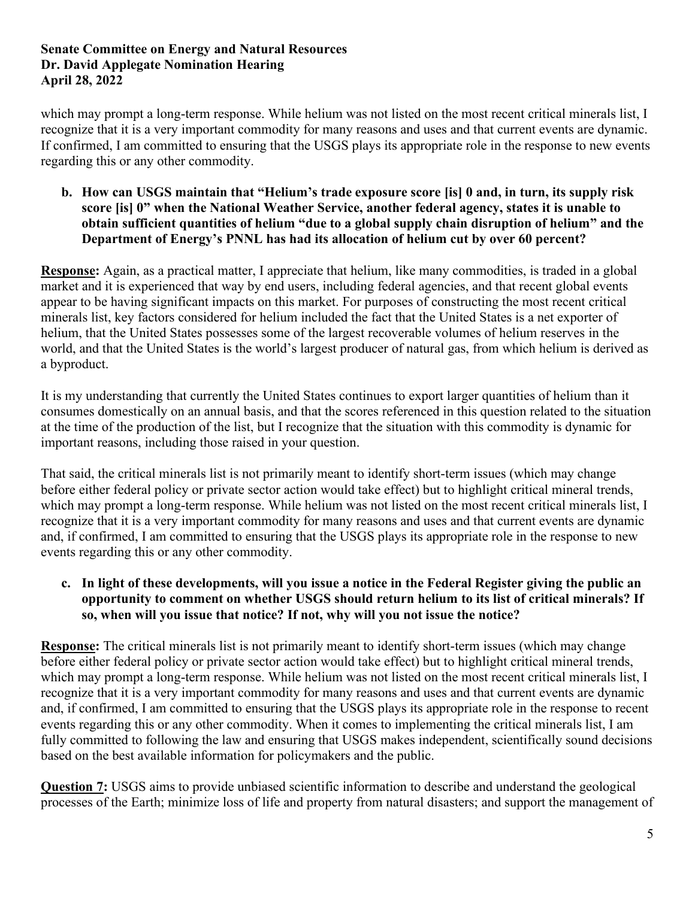which may prompt a long-term response. While helium was not listed on the most recent critical minerals list, I recognize that it is a very important commodity for many reasons and uses and that current events are dynamic. If confirmed, I am committed to ensuring that the USGS plays its appropriate role in the response to new events regarding this or any other commodity.

#### **b. How can USGS maintain that "Helium's trade exposure score [is] 0 and, in turn, its supply risk score [is] 0" when the National Weather Service, another federal agency, states it is unable to obtain sufficient quantities of helium "due to a global supply chain disruption of helium" and the Department of Energy's PNNL has had its allocation of helium cut by over 60 percent?**

**Response:** Again, as a practical matter, I appreciate that helium, like many commodities, is traded in a global market and it is experienced that way by end users, including federal agencies, and that recent global events appear to be having significant impacts on this market. For purposes of constructing the most recent critical minerals list, key factors considered for helium included the fact that the United States is a net exporter of helium, that the United States possesses some of the largest recoverable volumes of helium reserves in the world, and that the United States is the world's largest producer of natural gas, from which helium is derived as a byproduct.

It is my understanding that currently the United States continues to export larger quantities of helium than it consumes domestically on an annual basis, and that the scores referenced in this question related to the situation at the time of the production of the list, but I recognize that the situation with this commodity is dynamic for important reasons, including those raised in your question.

That said, the critical minerals list is not primarily meant to identify short-term issues (which may change before either federal policy or private sector action would take effect) but to highlight critical mineral trends, which may prompt a long-term response. While helium was not listed on the most recent critical minerals list, I recognize that it is a very important commodity for many reasons and uses and that current events are dynamic and, if confirmed, I am committed to ensuring that the USGS plays its appropriate role in the response to new events regarding this or any other commodity.

# **c. In light of these developments, will you issue a notice in the Federal Register giving the public an opportunity to comment on whether USGS should return helium to its list of critical minerals? If so, when will you issue that notice? If not, why will you not issue the notice?**

**Response:** The critical minerals list is not primarily meant to identify short-term issues (which may change before either federal policy or private sector action would take effect) but to highlight critical mineral trends, which may prompt a long-term response. While helium was not listed on the most recent critical minerals list, I recognize that it is a very important commodity for many reasons and uses and that current events are dynamic and, if confirmed, I am committed to ensuring that the USGS plays its appropriate role in the response to recent events regarding this or any other commodity. When it comes to implementing the critical minerals list, I am fully committed to following the law and ensuring that USGS makes independent, scientifically sound decisions based on the best available information for policymakers and the public.

**Question 7:** USGS aims to provide unbiased scientific information to describe and understand the geological processes of the Earth; minimize loss of life and property from natural disasters; and support the management of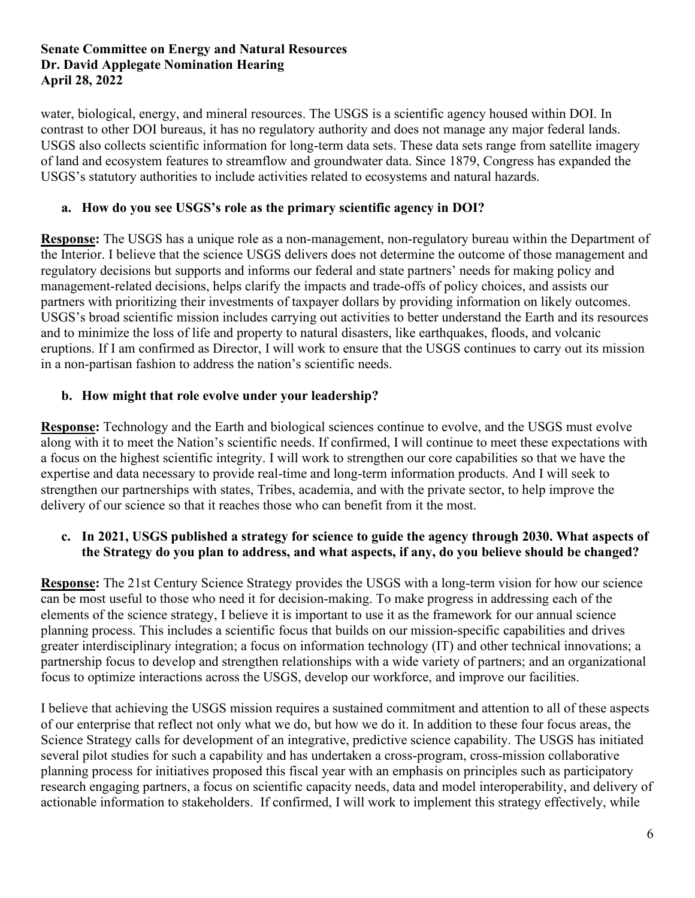water, biological, energy, and mineral resources. The USGS is a scientific agency housed within DOI. In contrast to other DOI bureaus, it has no regulatory authority and does not manage any major federal lands. USGS also collects scientific information for long-term data sets. These data sets range from satellite imagery of land and ecosystem features to streamflow and groundwater data. Since 1879, Congress has expanded the USGS's statutory authorities to include activities related to ecosystems and natural hazards.

# **a. How do you see USGS's role as the primary scientific agency in DOI?**

**Response:** The USGS has a unique role as a non-management, non-regulatory bureau within the Department of the Interior. I believe that the science USGS delivers does not determine the outcome of those management and regulatory decisions but supports and informs our federal and state partners' needs for making policy and management-related decisions, helps clarify the impacts and trade-offs of policy choices, and assists our partners with prioritizing their investments of taxpayer dollars by providing information on likely outcomes. USGS's broad scientific mission includes carrying out activities to better understand the Earth and its resources and to minimize the loss of life and property to natural disasters, like earthquakes, floods, and volcanic eruptions. If I am confirmed as Director, I will work to ensure that the USGS continues to carry out its mission in a non-partisan fashion to address the nation's scientific needs.

# **b. How might that role evolve under your leadership?**

**Response:** Technology and the Earth and biological sciences continue to evolve, and the USGS must evolve along with it to meet the Nation's scientific needs. If confirmed, I will continue to meet these expectations with a focus on the highest scientific integrity. I will work to strengthen our core capabilities so that we have the expertise and data necessary to provide real-time and long-term information products. And I will seek to strengthen our partnerships with states, Tribes, academia, and with the private sector, to help improve the delivery of our science so that it reaches those who can benefit from it the most.

# **c. In 2021, USGS published a strategy for science to guide the agency through 2030. What aspects of the Strategy do you plan to address, and what aspects, if any, do you believe should be changed?**

**Response:** The 21st Century Science Strategy provides the USGS with a long-term vision for how our science can be most useful to those who need it for decision-making. To make progress in addressing each of the elements of the science strategy, I believe it is important to use it as the framework for our annual science planning process. This includes a scientific focus that builds on our mission-specific capabilities and drives greater interdisciplinary integration; a focus on information technology (IT) and other technical innovations; a partnership focus to develop and strengthen relationships with a wide variety of partners; and an organizational focus to optimize interactions across the USGS, develop our workforce, and improve our facilities.

I believe that achieving the USGS mission requires a sustained commitment and attention to all of these aspects of our enterprise that reflect not only what we do, but how we do it. In addition to these four focus areas, the Science Strategy calls for development of an integrative, predictive science capability. The USGS has initiated several pilot studies for such a capability and has undertaken a cross-program, cross-mission collaborative planning process for initiatives proposed this fiscal year with an emphasis on principles such as participatory research engaging partners, a focus on scientific capacity needs, data and model interoperability, and delivery of actionable information to stakeholders. If confirmed, I will work to implement this strategy effectively, while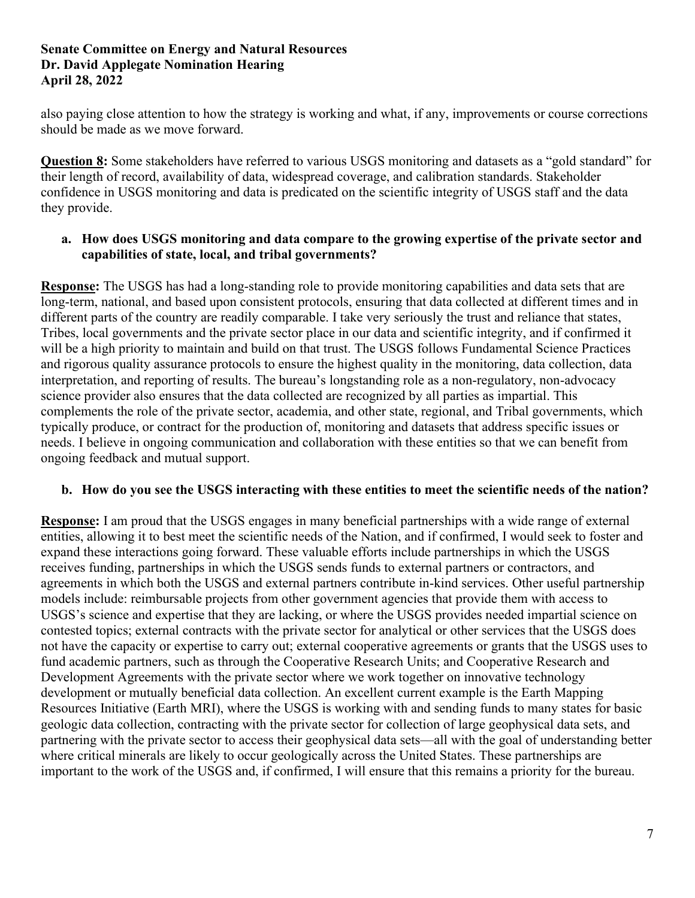also paying close attention to how the strategy is working and what, if any, improvements or course corrections should be made as we move forward.

**Question 8:** Some stakeholders have referred to various USGS monitoring and datasets as a "gold standard" for their length of record, availability of data, widespread coverage, and calibration standards. Stakeholder confidence in USGS monitoring and data is predicated on the scientific integrity of USGS staff and the data they provide.

# **a. How does USGS monitoring and data compare to the growing expertise of the private sector and capabilities of state, local, and tribal governments?**

**Response:** The USGS has had a long-standing role to provide monitoring capabilities and data sets that are long-term, national, and based upon consistent protocols, ensuring that data collected at different times and in different parts of the country are readily comparable. I take very seriously the trust and reliance that states, Tribes, local governments and the private sector place in our data and scientific integrity, and if confirmed it will be a high priority to maintain and build on that trust. The USGS follows Fundamental Science Practices and rigorous quality assurance protocols to ensure the highest quality in the monitoring, data collection, data interpretation, and reporting of results. The bureau's longstanding role as a non-regulatory, non-advocacy science provider also ensures that the data collected are recognized by all parties as impartial. This complements the role of the private sector, academia, and other state, regional, and Tribal governments, which typically produce, or contract for the production of, monitoring and datasets that address specific issues or needs. I believe in ongoing communication and collaboration with these entities so that we can benefit from ongoing feedback and mutual support.

# **b. How do you see the USGS interacting with these entities to meet the scientific needs of the nation?**

**Response:** I am proud that the USGS engages in many beneficial partnerships with a wide range of external entities, allowing it to best meet the scientific needs of the Nation, and if confirmed, I would seek to foster and expand these interactions going forward. These valuable efforts include partnerships in which the USGS receives funding, partnerships in which the USGS sends funds to external partners or contractors, and agreements in which both the USGS and external partners contribute in-kind services. Other useful partnership models include: reimbursable projects from other government agencies that provide them with access to USGS's science and expertise that they are lacking, or where the USGS provides needed impartial science on contested topics; external contracts with the private sector for analytical or other services that the USGS does not have the capacity or expertise to carry out; external cooperative agreements or grants that the USGS uses to fund academic partners, such as through the Cooperative Research Units; and Cooperative Research and Development Agreements with the private sector where we work together on innovative technology development or mutually beneficial data collection. An excellent current example is the Earth Mapping Resources Initiative (Earth MRI), where the USGS is working with and sending funds to many states for basic geologic data collection, contracting with the private sector for collection of large geophysical data sets, and partnering with the private sector to access their geophysical data sets—all with the goal of understanding better where critical minerals are likely to occur geologically across the United States. These partnerships are important to the work of the USGS and, if confirmed, I will ensure that this remains a priority for the bureau.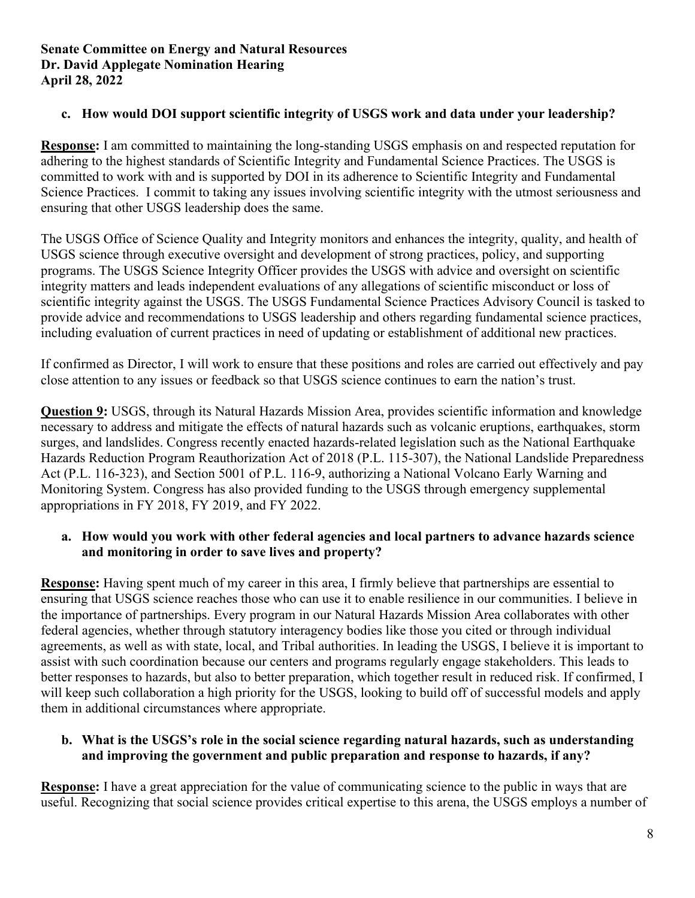# **c. How would DOI support scientific integrity of USGS work and data under your leadership?**

**Response:** I am committed to maintaining the long-standing USGS emphasis on and respected reputation for adhering to the highest standards of Scientific Integrity and Fundamental Science Practices. The USGS is committed to work with and is supported by DOI in its adherence to Scientific Integrity and Fundamental Science Practices. I commit to taking any issues involving scientific integrity with the utmost seriousness and ensuring that other USGS leadership does the same.

The USGS Office of Science Quality and Integrity monitors and enhances the integrity, quality, and health of USGS science through executive oversight and development of strong practices, policy, and supporting programs. The USGS Science Integrity Officer provides the USGS with advice and oversight on scientific integrity matters and leads independent evaluations of any allegations of scientific misconduct or loss of scientific integrity against the USGS. The USGS Fundamental Science Practices Advisory Council is tasked to provide advice and recommendations to USGS leadership and others regarding fundamental science practices, including evaluation of current practices in need of updating or establishment of additional new practices.

If confirmed as Director, I will work to ensure that these positions and roles are carried out effectively and pay close attention to any issues or feedback so that USGS science continues to earn the nation's trust.

**Question 9:** USGS, through its Natural Hazards Mission Area, provides scientific information and knowledge necessary to address and mitigate the effects of natural hazards such as volcanic eruptions, earthquakes, storm surges, and landslides. Congress recently enacted hazards-related legislation such as the National Earthquake Hazards Reduction Program Reauthorization Act of 2018 (P.L. 115-307), the National Landslide Preparedness Act (P.L. 116-323), and Section 5001 of P.L. 116-9, authorizing a National Volcano Early Warning and Monitoring System. Congress has also provided funding to the USGS through emergency supplemental appropriations in FY 2018, FY 2019, and FY 2022.

# **a. How would you work with other federal agencies and local partners to advance hazards science and monitoring in order to save lives and property?**

**Response:** Having spent much of my career in this area, I firmly believe that partnerships are essential to ensuring that USGS science reaches those who can use it to enable resilience in our communities. I believe in the importance of partnerships. Every program in our Natural Hazards Mission Area collaborates with other federal agencies, whether through statutory interagency bodies like those you cited or through individual agreements, as well as with state, local, and Tribal authorities. In leading the USGS, I believe it is important to assist with such coordination because our centers and programs regularly engage stakeholders. This leads to better responses to hazards, but also to better preparation, which together result in reduced risk. If confirmed, I will keep such collaboration a high priority for the USGS, looking to build off of successful models and apply them in additional circumstances where appropriate.

# **b. What is the USGS's role in the social science regarding natural hazards, such as understanding and improving the government and public preparation and response to hazards, if any?**

**Response:** I have a great appreciation for the value of communicating science to the public in ways that are useful. Recognizing that social science provides critical expertise to this arena, the USGS employs a number of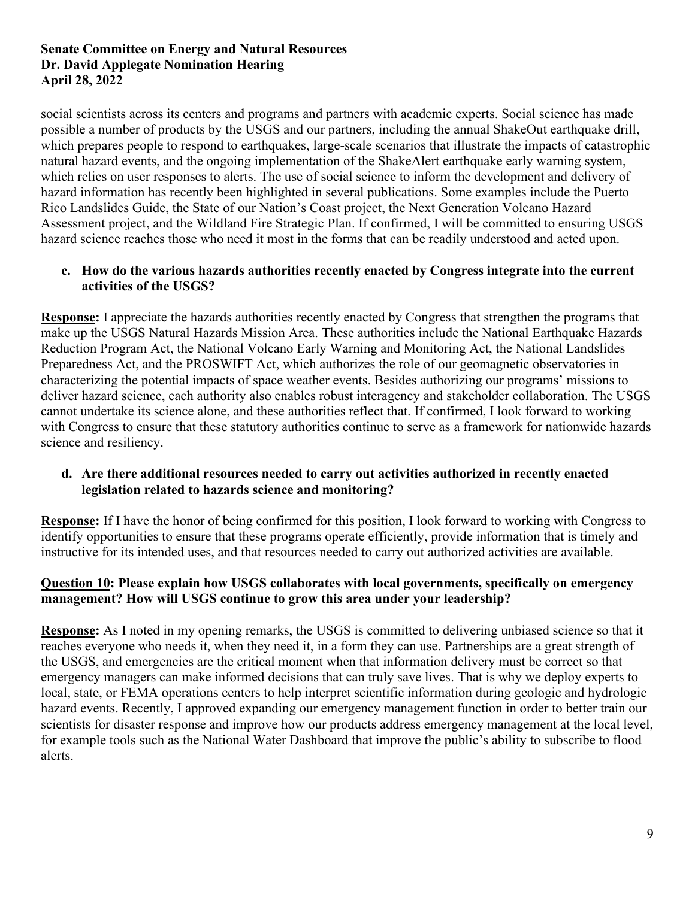social scientists across its centers and programs and partners with academic experts. Social science has made possible a number of products by the USGS and our partners, including the annual ShakeOut earthquake drill, which prepares people to respond to earthquakes, large-scale scenarios that illustrate the impacts of catastrophic natural hazard events, and the ongoing implementation of the ShakeAlert earthquake early warning system, which relies on user responses to alerts. The use of social science to inform the development and delivery of hazard information has recently been highlighted in several publications. Some examples include the Puerto Rico Landslides Guide, the State of our Nation's Coast project, the Next Generation Volcano Hazard Assessment project, and the Wildland Fire Strategic Plan. If confirmed, I will be committed to ensuring USGS hazard science reaches those who need it most in the forms that can be readily understood and acted upon.

# **c. How do the various hazards authorities recently enacted by Congress integrate into the current activities of the USGS?**

**Response:** I appreciate the hazards authorities recently enacted by Congress that strengthen the programs that make up the USGS Natural Hazards Mission Area. These authorities include the National Earthquake Hazards Reduction Program Act, the National Volcano Early Warning and Monitoring Act, the National Landslides Preparedness Act, and the PROSWIFT Act, which authorizes the role of our geomagnetic observatories in characterizing the potential impacts of space weather events. Besides authorizing our programs' missions to deliver hazard science, each authority also enables robust interagency and stakeholder collaboration. The USGS cannot undertake its science alone, and these authorities reflect that. If confirmed, I look forward to working with Congress to ensure that these statutory authorities continue to serve as a framework for nationwide hazards science and resiliency.

# **d. Are there additional resources needed to carry out activities authorized in recently enacted legislation related to hazards science and monitoring?**

**Response:** If I have the honor of being confirmed for this position, I look forward to working with Congress to identify opportunities to ensure that these programs operate efficiently, provide information that is timely and instructive for its intended uses, and that resources needed to carry out authorized activities are available.

# **Question 10: Please explain how USGS collaborates with local governments, specifically on emergency management? How will USGS continue to grow this area under your leadership?**

**Response:** As I noted in my opening remarks, the USGS is committed to delivering unbiased science so that it reaches everyone who needs it, when they need it, in a form they can use. Partnerships are a great strength of the USGS, and emergencies are the critical moment when that information delivery must be correct so that emergency managers can make informed decisions that can truly save lives. That is why we deploy experts to local, state, or FEMA operations centers to help interpret scientific information during geologic and hydrologic hazard events. Recently, I approved expanding our emergency management function in order to better train our scientists for disaster response and improve how our products address emergency management at the local level, for example tools such as the National Water Dashboard that improve the public's ability to subscribe to flood alerts.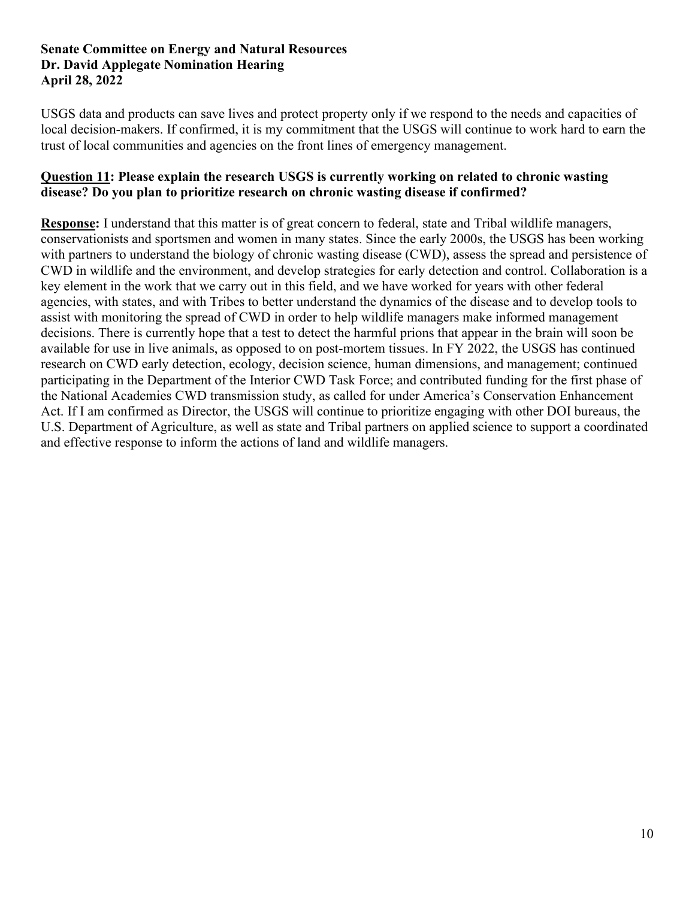USGS data and products can save lives and protect property only if we respond to the needs and capacities of local decision-makers. If confirmed, it is my commitment that the USGS will continue to work hard to earn the trust of local communities and agencies on the front lines of emergency management.

# **Question 11: Please explain the research USGS is currently working on related to chronic wasting disease? Do you plan to prioritize research on chronic wasting disease if confirmed?**

**Response:** I understand that this matter is of great concern to federal, state and Tribal wildlife managers, conservationists and sportsmen and women in many states. Since the early 2000s, the USGS has been working with partners to understand the biology of chronic wasting disease (CWD), assess the spread and persistence of CWD in wildlife and the environment, and develop strategies for early detection and control. Collaboration is a key element in the work that we carry out in this field, and we have worked for years with other federal agencies, with states, and with Tribes to better understand the dynamics of the disease and to develop tools to assist with monitoring the spread of CWD in order to help wildlife managers make informed management decisions. There is currently hope that a test to detect the harmful prions that appear in the brain will soon be available for use in live animals, as opposed to on post-mortem tissues. In FY 2022, the USGS has continued research on CWD early detection, ecology, decision science, human dimensions, and management; continued participating in the Department of the Interior CWD Task Force; and contributed funding for the first phase of the National Academies CWD transmission study, as called for under America's Conservation Enhancement Act. If I am confirmed as Director, the USGS will continue to prioritize engaging with other DOI bureaus, the U.S. Department of Agriculture, as well as state and Tribal partners on applied science to support a coordinated and effective response to inform the actions of land and wildlife managers.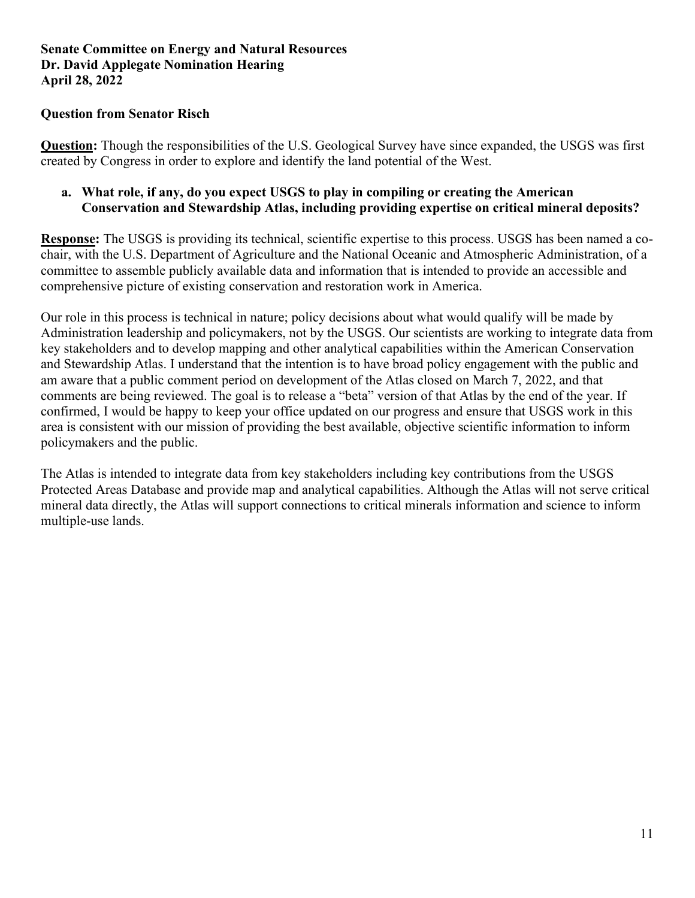# **Question from Senator Risch**

**Question:** Though the responsibilities of the U.S. Geological Survey have since expanded, the USGS was first created by Congress in order to explore and identify the land potential of the West.

# **a. What role, if any, do you expect USGS to play in compiling or creating the American Conservation and Stewardship Atlas, including providing expertise on critical mineral deposits?**

**Response:** The USGS is providing its technical, scientific expertise to this process. USGS has been named a cochair, with the U.S. Department of Agriculture and the National Oceanic and Atmospheric Administration, of a committee to assemble publicly available data and information that is intended to provide an accessible and comprehensive picture of existing conservation and restoration work in America.

Our role in this process is technical in nature; policy decisions about what would qualify will be made by Administration leadership and policymakers, not by the USGS. Our scientists are working to integrate data from key stakeholders and to develop mapping and other analytical capabilities within the American Conservation and Stewardship Atlas. I understand that the intention is to have broad policy engagement with the public and am aware that a public comment period on development of the Atlas closed on March 7, 2022, and that comments are being reviewed. The goal is to release a "beta" version of that Atlas by the end of the year. If confirmed, I would be happy to keep your office updated on our progress and ensure that USGS work in this area is consistent with our mission of providing the best available, objective scientific information to inform policymakers and the public.

The Atlas is intended to integrate data from key stakeholders including key contributions from the USGS Protected Areas Database and provide map and analytical capabilities. Although the Atlas will not serve critical mineral data directly, the Atlas will support connections to critical minerals information and science to inform multiple-use lands.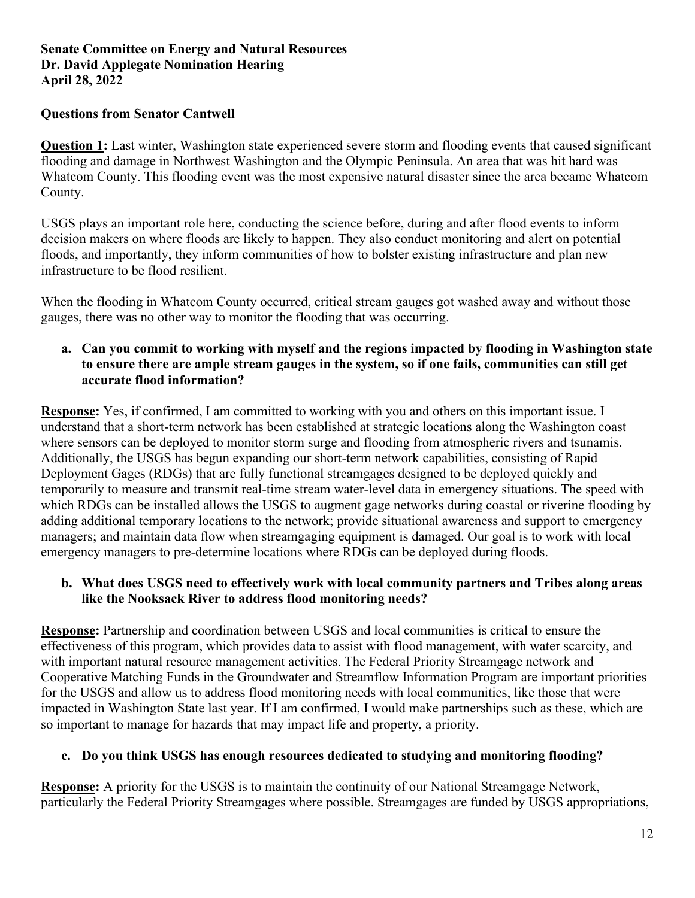# **Questions from Senator Cantwell**

**Question 1:** Last winter, Washington state experienced severe storm and flooding events that caused significant flooding and damage in Northwest Washington and the Olympic Peninsula. An area that was hit hard was Whatcom County. This flooding event was the most expensive natural disaster since the area became Whatcom County.

USGS plays an important role here, conducting the science before, during and after flood events to inform decision makers on where floods are likely to happen. They also conduct monitoring and alert on potential floods, and importantly, they inform communities of how to bolster existing infrastructure and plan new infrastructure to be flood resilient.

When the flooding in Whatcom County occurred, critical stream gauges got washed away and without those gauges, there was no other way to monitor the flooding that was occurring.

# **a. Can you commit to working with myself and the regions impacted by flooding in Washington state to ensure there are ample stream gauges in the system, so if one fails, communities can still get accurate flood information?**

**Response:** Yes, if confirmed, I am committed to working with you and others on this important issue. I understand that a short-term network has been established at strategic locations along the Washington coast where sensors can be deployed to monitor storm surge and flooding from atmospheric rivers and tsunamis. Additionally, the USGS has begun expanding our short-term network capabilities, consisting of Rapid Deployment Gages (RDGs) that are fully functional streamgages designed to be deployed quickly and temporarily to measure and transmit real-time stream water-level data in emergency situations. The speed with which RDGs can be installed allows the USGS to augment gage networks during coastal or riverine flooding by adding additional temporary locations to the network; provide situational awareness and support to emergency managers; and maintain data flow when streamgaging equipment is damaged. Our goal is to work with local emergency managers to pre-determine locations where RDGs can be deployed during floods.

# **b. What does USGS need to effectively work with local community partners and Tribes along areas like the Nooksack River to address flood monitoring needs?**

**Response:** Partnership and coordination between USGS and local communities is critical to ensure the effectiveness of this program, which provides data to assist with flood management, with water scarcity, and with important natural resource management activities. The Federal Priority Streamgage network and Cooperative Matching Funds in the Groundwater and Streamflow Information Program are important priorities for the USGS and allow us to address flood monitoring needs with local communities, like those that were impacted in Washington State last year. If I am confirmed, I would make partnerships such as these, which are so important to manage for hazards that may impact life and property, a priority.

# **c. Do you think USGS has enough resources dedicated to studying and monitoring flooding?**

**Response:** A priority for the USGS is to maintain the continuity of our National Streamgage Network, particularly the Federal Priority Streamgages where possible. Streamgages are funded by USGS appropriations,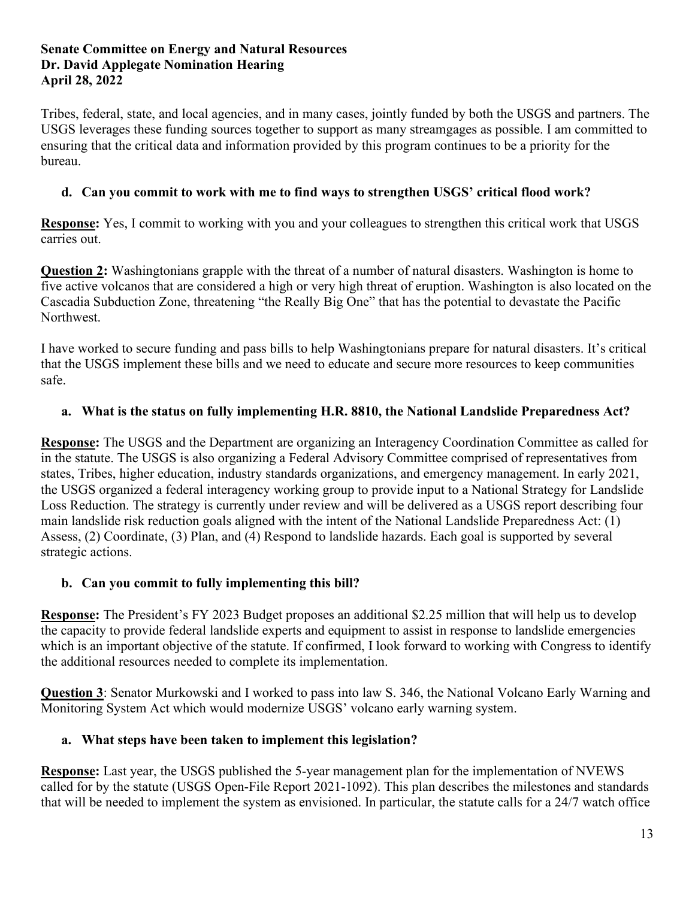Tribes, federal, state, and local agencies, and in many cases, jointly funded by both the USGS and partners. The USGS leverages these funding sources together to support as many streamgages as possible. I am committed to ensuring that the critical data and information provided by this program continues to be a priority for the bureau.

# **d. Can you commit to work with me to find ways to strengthen USGS' critical flood work?**

**Response:** Yes, I commit to working with you and your colleagues to strengthen this critical work that USGS carries out.

**Question 2:** Washingtonians grapple with the threat of a number of natural disasters. Washington is home to five active volcanos that are considered a high or very high threat of eruption. Washington is also located on the Cascadia Subduction Zone, threatening "the Really Big One" that has the potential to devastate the Pacific Northwest.

I have worked to secure funding and pass bills to help Washingtonians prepare for natural disasters. It's critical that the USGS implement these bills and we need to educate and secure more resources to keep communities safe.

# **a. What is the status on fully implementing H.R. 8810, the National Landslide Preparedness Act?**

**Response:** The USGS and the Department are organizing an Interagency Coordination Committee as called for in the statute. The USGS is also organizing a Federal Advisory Committee comprised of representatives from states, Tribes, higher education, industry standards organizations, and emergency management. In early 2021, the USGS organized a federal interagency working group to provide input to a National Strategy for Landslide Loss Reduction. The strategy is currently under review and will be delivered as a USGS report describing four main landslide risk reduction goals aligned with the intent of the National Landslide Preparedness Act: (1) Assess, (2) Coordinate, (3) Plan, and (4) Respond to landslide hazards. Each goal is supported by several strategic actions.

# **b. Can you commit to fully implementing this bill?**

**Response:** The President's FY 2023 Budget proposes an additional \$2.25 million that will help us to develop the capacity to provide federal landslide experts and equipment to assist in response to landslide emergencies which is an important objective of the statute. If confirmed, I look forward to working with Congress to identify the additional resources needed to complete its implementation.

**Question 3**: Senator Murkowski and I worked to pass into law S. 346, the National Volcano Early Warning and Monitoring System Act which would modernize USGS' volcano early warning system.

# **a. What steps have been taken to implement this legislation?**

**Response:** Last year, the USGS published the 5-year management plan for the implementation of NVEWS called for by the statute (USGS Open-File Report 2021-1092). This plan describes the milestones and standards that will be needed to implement the system as envisioned. In particular, the statute calls for a 24/7 watch office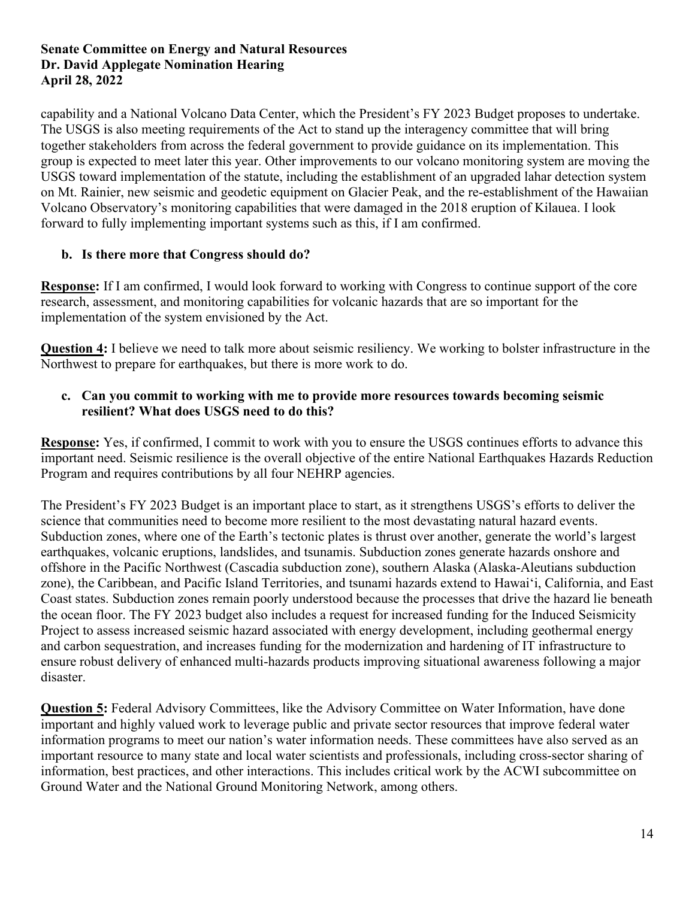capability and a National Volcano Data Center, which the President's FY 2023 Budget proposes to undertake. The USGS is also meeting requirements of the Act to stand up the interagency committee that will bring together stakeholders from across the federal government to provide guidance on its implementation. This group is expected to meet later this year. Other improvements to our volcano monitoring system are moving the USGS toward implementation of the statute, including the establishment of an upgraded lahar detection system on Mt. Rainier, new seismic and geodetic equipment on Glacier Peak, and the re-establishment of the Hawaiian Volcano Observatory's monitoring capabilities that were damaged in the 2018 eruption of Kilauea. I look forward to fully implementing important systems such as this, if I am confirmed.

# **b. Is there more that Congress should do?**

**Response:** If I am confirmed, I would look forward to working with Congress to continue support of the core research, assessment, and monitoring capabilities for volcanic hazards that are so important for the implementation of the system envisioned by the Act.

**Question 4:** I believe we need to talk more about seismic resiliency. We working to bolster infrastructure in the Northwest to prepare for earthquakes, but there is more work to do.

# **c. Can you commit to working with me to provide more resources towards becoming seismic resilient? What does USGS need to do this?**

**Response:** Yes, if confirmed, I commit to work with you to ensure the USGS continues efforts to advance this important need. Seismic resilience is the overall objective of the entire National Earthquakes Hazards Reduction Program and requires contributions by all four NEHRP agencies.

The President's FY 2023 Budget is an important place to start, as it strengthens USGS's efforts to deliver the science that communities need to become more resilient to the most devastating natural hazard events. Subduction zones, where one of the Earth's tectonic plates is thrust over another, generate the world's largest earthquakes, volcanic eruptions, landslides, and tsunamis. Subduction zones generate hazards onshore and offshore in the Pacific Northwest (Cascadia subduction zone), southern Alaska (Alaska-Aleutians subduction zone), the Caribbean, and Pacific Island Territories, and tsunami hazards extend to Hawai'i, California, and East Coast states. Subduction zones remain poorly understood because the processes that drive the hazard lie beneath the ocean floor. The FY 2023 budget also includes a request for increased funding for the Induced Seismicity Project to assess increased seismic hazard associated with energy development, including geothermal energy and carbon sequestration, and increases funding for the modernization and hardening of IT infrastructure to ensure robust delivery of enhanced multi-hazards products improving situational awareness following a major disaster.

**Question 5:** Federal Advisory Committees, like the Advisory Committee on Water Information, have done important and highly valued work to leverage public and private sector resources that improve federal water information programs to meet our nation's water information needs. These committees have also served as an important resource to many state and local water scientists and professionals, including cross-sector sharing of information, best practices, and other interactions. This includes critical work by the ACWI subcommittee on Ground Water and the National Ground Monitoring Network, among others.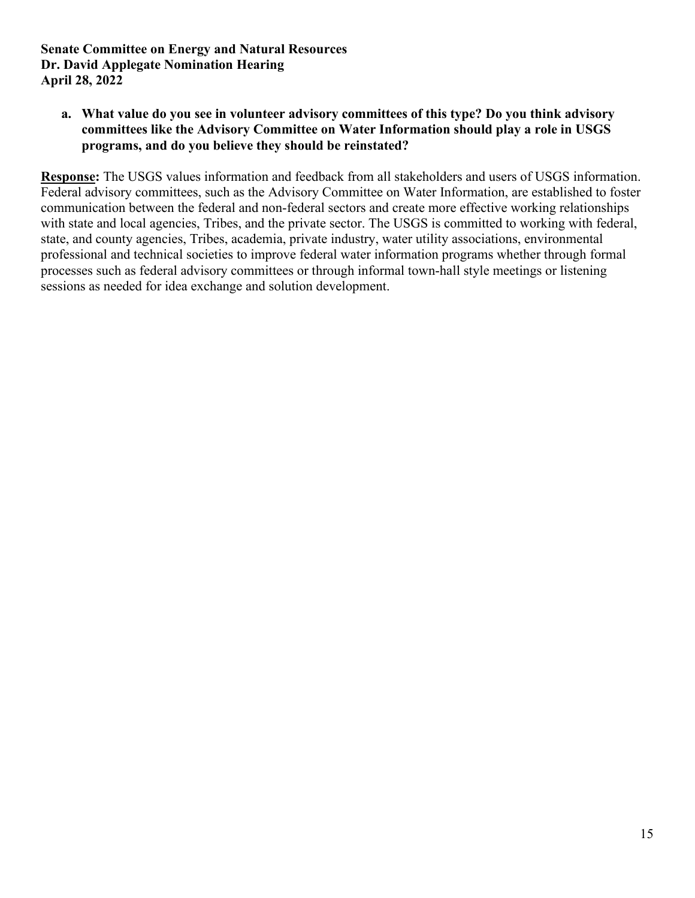**a. What value do you see in volunteer advisory committees of this type? Do you think advisory committees like the Advisory Committee on Water Information should play a role in USGS programs, and do you believe they should be reinstated?**

**Response:** The USGS values information and feedback from all stakeholders and users of USGS information. Federal advisory committees, such as the Advisory Committee on Water Information, are established to foster communication between the federal and non-federal sectors and create more effective working relationships with state and local agencies, Tribes, and the private sector. The USGS is committed to working with federal, state, and county agencies, Tribes, academia, private industry, water utility associations, environmental professional and technical societies to improve federal water information programs whether through formal processes such as federal advisory committees or through informal town-hall style meetings or listening sessions as needed for idea exchange and solution development.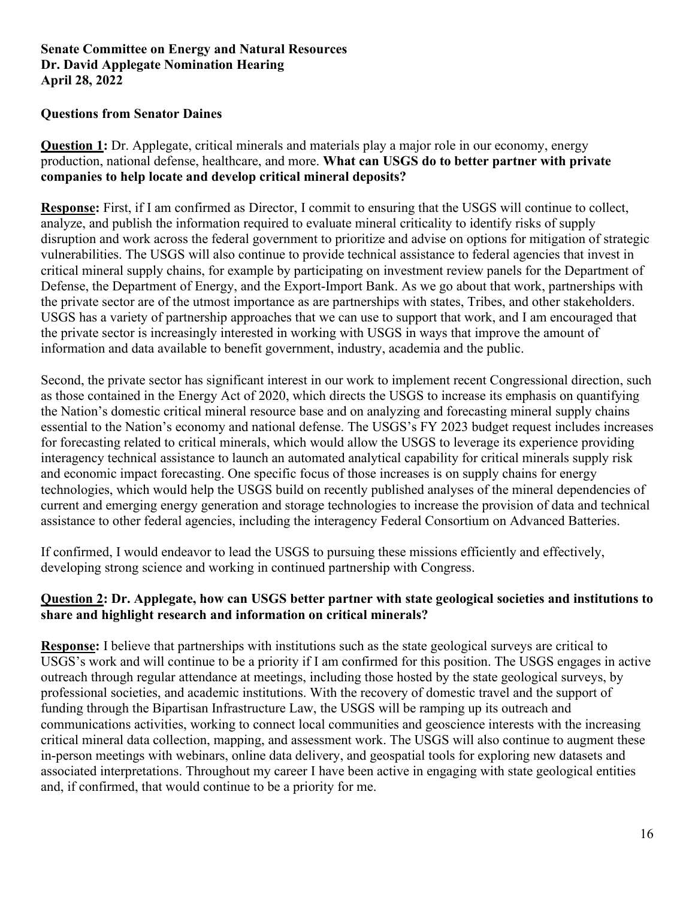#### **Questions from Senator Daines**

**Question 1:** Dr. Applegate, critical minerals and materials play a major role in our economy, energy production, national defense, healthcare, and more. **What can USGS do to better partner with private companies to help locate and develop critical mineral deposits?**

**Response:** First, if I am confirmed as Director, I commit to ensuring that the USGS will continue to collect, analyze, and publish the information required to evaluate mineral criticality to identify risks of supply disruption and work across the federal government to prioritize and advise on options for mitigation of strategic vulnerabilities. The USGS will also continue to provide technical assistance to federal agencies that invest in critical mineral supply chains, for example by participating on investment review panels for the Department of Defense, the Department of Energy, and the Export-Import Bank. As we go about that work, partnerships with the private sector are of the utmost importance as are partnerships with states, Tribes, and other stakeholders. USGS has a variety of partnership approaches that we can use to support that work, and I am encouraged that the private sector is increasingly interested in working with USGS in ways that improve the amount of information and data available to benefit government, industry, academia and the public.

Second, the private sector has significant interest in our work to implement recent Congressional direction, such as those contained in the Energy Act of 2020, which directs the USGS to increase its emphasis on quantifying the Nation's domestic critical mineral resource base and on analyzing and forecasting mineral supply chains essential to the Nation's economy and national defense. The USGS's FY 2023 budget request includes increases for forecasting related to critical minerals, which would allow the USGS to leverage its experience providing interagency technical assistance to launch an automated analytical capability for critical minerals supply risk and economic impact forecasting. One specific focus of those increases is on supply chains for energy technologies, which would help the USGS build on recently published analyses of the mineral dependencies of current and emerging energy generation and storage technologies to increase the provision of data and technical assistance to other federal agencies, including the interagency Federal Consortium on Advanced Batteries.

If confirmed, I would endeavor to lead the USGS to pursuing these missions efficiently and effectively, developing strong science and working in continued partnership with Congress.

# **Question 2: Dr. Applegate, how can USGS better partner with state geological societies and institutions to share and highlight research and information on critical minerals?**

**Response:** I believe that partnerships with institutions such as the state geological surveys are critical to USGS's work and will continue to be a priority if I am confirmed for this position. The USGS engages in active outreach through regular attendance at meetings, including those hosted by the state geological surveys, by professional societies, and academic institutions. With the recovery of domestic travel and the support of funding through the Bipartisan Infrastructure Law, the USGS will be ramping up its outreach and communications activities, working to connect local communities and geoscience interests with the increasing critical mineral data collection, mapping, and assessment work. The USGS will also continue to augment these in-person meetings with webinars, online data delivery, and geospatial tools for exploring new datasets and associated interpretations. Throughout my career I have been active in engaging with state geological entities and, if confirmed, that would continue to be a priority for me.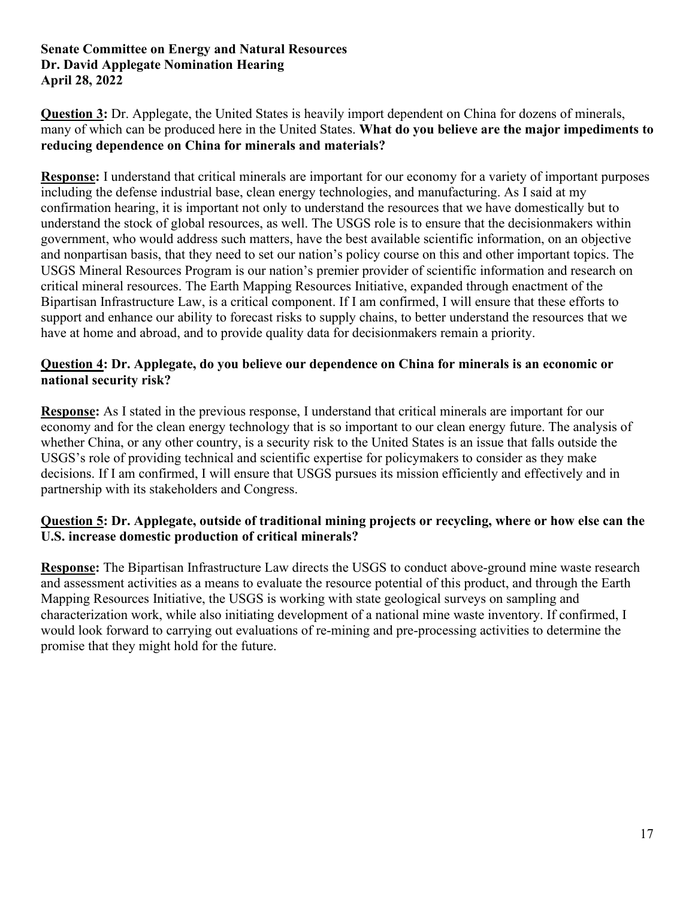**Question 3:** Dr. Applegate, the United States is heavily import dependent on China for dozens of minerals, many of which can be produced here in the United States. **What do you believe are the major impediments to reducing dependence on China for minerals and materials?**

**Response:** I understand that critical minerals are important for our economy for a variety of important purposes including the defense industrial base, clean energy technologies, and manufacturing. As I said at my confirmation hearing, it is important not only to understand the resources that we have domestically but to understand the stock of global resources, as well. The USGS role is to ensure that the decisionmakers within government, who would address such matters, have the best available scientific information, on an objective and nonpartisan basis, that they need to set our nation's policy course on this and other important topics. The USGS Mineral Resources Program is our nation's premier provider of scientific information and research on critical mineral resources. The Earth Mapping Resources Initiative, expanded through enactment of the Bipartisan Infrastructure Law, is a critical component. If I am confirmed, I will ensure that these efforts to support and enhance our ability to forecast risks to supply chains, to better understand the resources that we have at home and abroad, and to provide quality data for decisionmakers remain a priority.

# **Question 4: Dr. Applegate, do you believe our dependence on China for minerals is an economic or national security risk?**

**Response:** As I stated in the previous response, I understand that critical minerals are important for our economy and for the clean energy technology that is so important to our clean energy future. The analysis of whether China, or any other country, is a security risk to the United States is an issue that falls outside the USGS's role of providing technical and scientific expertise for policymakers to consider as they make decisions. If I am confirmed, I will ensure that USGS pursues its mission efficiently and effectively and in partnership with its stakeholders and Congress.

# **Question 5: Dr. Applegate, outside of traditional mining projects or recycling, where or how else can the U.S. increase domestic production of critical minerals?**

**Response:** The Bipartisan Infrastructure Law directs the USGS to conduct above-ground mine waste research and assessment activities as a means to evaluate the resource potential of this product, and through the Earth Mapping Resources Initiative, the USGS is working with state geological surveys on sampling and characterization work, while also initiating development of a national mine waste inventory. If confirmed, I would look forward to carrying out evaluations of re-mining and pre-processing activities to determine the promise that they might hold for the future.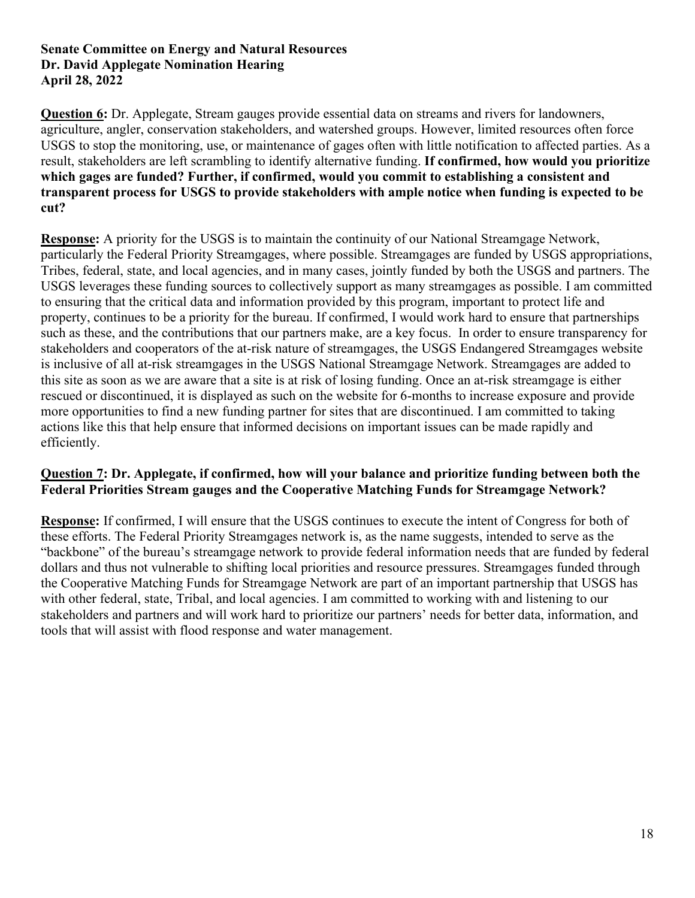**Question 6:** Dr. Applegate, Stream gauges provide essential data on streams and rivers for landowners, agriculture, angler, conservation stakeholders, and watershed groups. However, limited resources often force USGS to stop the monitoring, use, or maintenance of gages often with little notification to affected parties. As a result, stakeholders are left scrambling to identify alternative funding. **If confirmed, how would you prioritize which gages are funded? Further, if confirmed, would you commit to establishing a consistent and transparent process for USGS to provide stakeholders with ample notice when funding is expected to be cut?**

**Response:** A priority for the USGS is to maintain the continuity of our National Streamgage Network, particularly the Federal Priority Streamgages, where possible. Streamgages are funded by USGS appropriations, Tribes, federal, state, and local agencies, and in many cases, jointly funded by both the USGS and partners. The USGS leverages these funding sources to collectively support as many streamgages as possible. I am committed to ensuring that the critical data and information provided by this program, important to protect life and property, continues to be a priority for the bureau. If confirmed, I would work hard to ensure that partnerships such as these, and the contributions that our partners make, are a key focus. In order to ensure transparency for stakeholders and cooperators of the at-risk nature of streamgages, the USGS Endangered Streamgages website is inclusive of all at-risk streamgages in the USGS National Streamgage Network. Streamgages are added to this site as soon as we are aware that a site is at risk of losing funding. Once an at-risk streamgage is either rescued or discontinued, it is displayed as such on the website for 6-months to increase exposure and provide more opportunities to find a new funding partner for sites that are discontinued. I am committed to taking actions like this that help ensure that informed decisions on important issues can be made rapidly and efficiently.

# **Question 7: Dr. Applegate, if confirmed, how will your balance and prioritize funding between both the Federal Priorities Stream gauges and the Cooperative Matching Funds for Streamgage Network?**

**Response:** If confirmed, I will ensure that the USGS continues to execute the intent of Congress for both of these efforts. The Federal Priority Streamgages network is, as the name suggests, intended to serve as the "backbone" of the bureau's streamgage network to provide federal information needs that are funded by federal dollars and thus not vulnerable to shifting local priorities and resource pressures. Streamgages funded through the Cooperative Matching Funds for Streamgage Network are part of an important partnership that USGS has with other federal, state, Tribal, and local agencies. I am committed to working with and listening to our stakeholders and partners and will work hard to prioritize our partners' needs for better data, information, and tools that will assist with flood response and water management.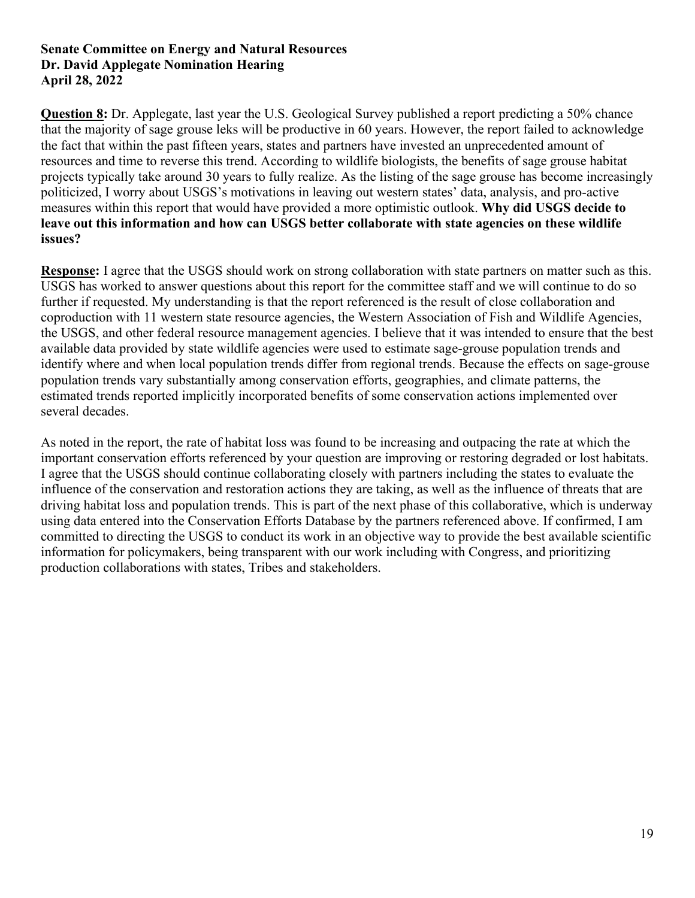**Question 8:** Dr. Applegate, last year the U.S. Geological Survey published a report predicting a 50% chance that the majority of sage grouse leks will be productive in 60 years. However, the report failed to acknowledge the fact that within the past fifteen years, states and partners have invested an unprecedented amount of resources and time to reverse this trend. According to wildlife biologists, the benefits of sage grouse habitat projects typically take around 30 years to fully realize. As the listing of the sage grouse has become increasingly politicized, I worry about USGS's motivations in leaving out western states' data, analysis, and pro-active measures within this report that would have provided a more optimistic outlook. **Why did USGS decide to leave out this information and how can USGS better collaborate with state agencies on these wildlife issues?**

**Response:** I agree that the USGS should work on strong collaboration with state partners on matter such as this. USGS has worked to answer questions about this report for the committee staff and we will continue to do so further if requested. My understanding is that the report referenced is the result of close collaboration and coproduction with 11 western state resource agencies, the Western Association of Fish and Wildlife Agencies, the USGS, and other federal resource management agencies. I believe that it was intended to ensure that the best available data provided by state wildlife agencies were used to estimate sage-grouse population trends and identify where and when local population trends differ from regional trends. Because the effects on sage-grouse population trends vary substantially among conservation efforts, geographies, and climate patterns, the estimated trends reported implicitly incorporated benefits of some conservation actions implemented over several decades.

As noted in the report, the rate of habitat loss was found to be increasing and outpacing the rate at which the important conservation efforts referenced by your question are improving or restoring degraded or lost habitats. I agree that the USGS should continue collaborating closely with partners including the states to evaluate the influence of the conservation and restoration actions they are taking, as well as the influence of threats that are driving habitat loss and population trends. This is part of the next phase of this collaborative, which is underway using data entered into the Conservation Efforts Database by the partners referenced above. If confirmed, I am committed to directing the USGS to conduct its work in an objective way to provide the best available scientific information for policymakers, being transparent with our work including with Congress, and prioritizing production collaborations with states, Tribes and stakeholders.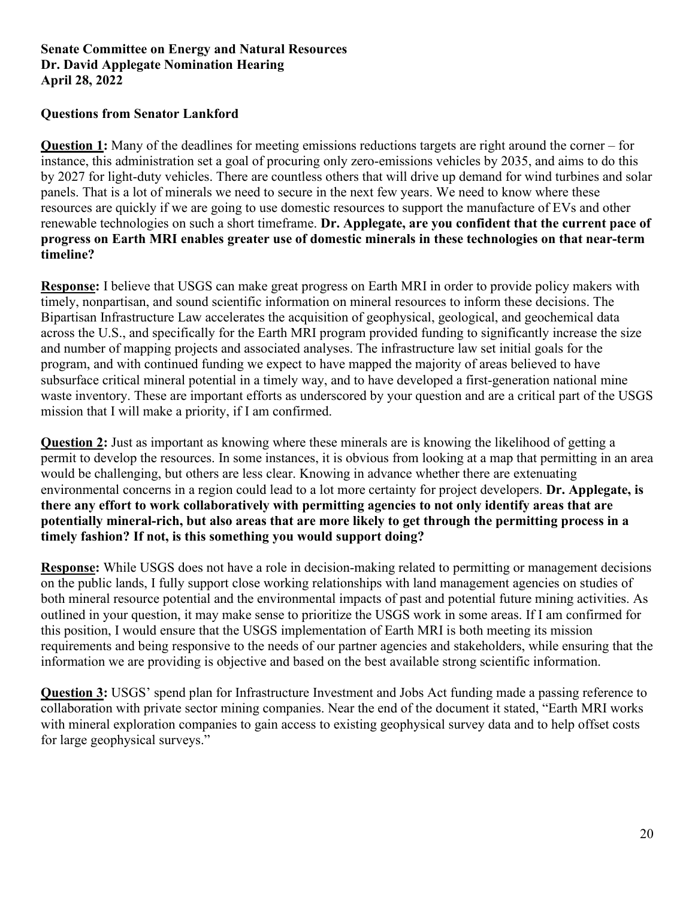## **Questions from Senator Lankford**

**Question 1:** Many of the deadlines for meeting emissions reductions targets are right around the corner – for instance, this administration set a goal of procuring only zero-emissions vehicles by 2035, and aims to do this by 2027 for light-duty vehicles. There are countless others that will drive up demand for wind turbines and solar panels. That is a lot of minerals we need to secure in the next few years. We need to know where these resources are quickly if we are going to use domestic resources to support the manufacture of EVs and other renewable technologies on such a short timeframe. **Dr. Applegate, are you confident that the current pace of progress on Earth MRI enables greater use of domestic minerals in these technologies on that near-term timeline?**

**Response:** I believe that USGS can make great progress on Earth MRI in order to provide policy makers with timely, nonpartisan, and sound scientific information on mineral resources to inform these decisions. The Bipartisan Infrastructure Law accelerates the acquisition of geophysical, geological, and geochemical data across the U.S., and specifically for the Earth MRI program provided funding to significantly increase the size and number of mapping projects and associated analyses. The infrastructure law set initial goals for the program, and with continued funding we expect to have mapped the majority of areas believed to have subsurface critical mineral potential in a timely way, and to have developed a first-generation national mine waste inventory. These are important efforts as underscored by your question and are a critical part of the USGS mission that I will make a priority, if I am confirmed.

**Question 2:** Just as important as knowing where these minerals are is knowing the likelihood of getting a permit to develop the resources. In some instances, it is obvious from looking at a map that permitting in an area would be challenging, but others are less clear. Knowing in advance whether there are extenuating environmental concerns in a region could lead to a lot more certainty for project developers. **Dr. Applegate, is there any effort to work collaboratively with permitting agencies to not only identify areas that are potentially mineral-rich, but also areas that are more likely to get through the permitting process in a timely fashion? If not, is this something you would support doing?**

**Response:** While USGS does not have a role in decision-making related to permitting or management decisions on the public lands, I fully support close working relationships with land management agencies on studies of both mineral resource potential and the environmental impacts of past and potential future mining activities. As outlined in your question, it may make sense to prioritize the USGS work in some areas. If I am confirmed for this position, I would ensure that the USGS implementation of Earth MRI is both meeting its mission requirements and being responsive to the needs of our partner agencies and stakeholders, while ensuring that the information we are providing is objective and based on the best available strong scientific information.

**Question 3:** USGS' spend plan for Infrastructure Investment and Jobs Act funding made a passing reference to collaboration with private sector mining companies. Near the end of the document it stated, "Earth MRI works with mineral exploration companies to gain access to existing geophysical survey data and to help offset costs for large geophysical surveys."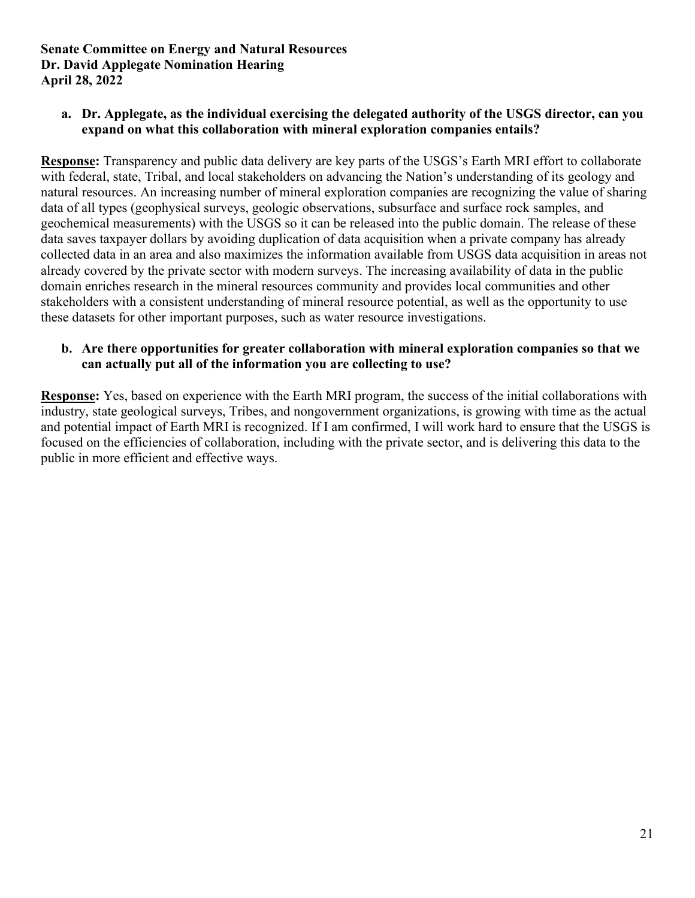**a. Dr. Applegate, as the individual exercising the delegated authority of the USGS director, can you expand on what this collaboration with mineral exploration companies entails?** 

**Response:** Transparency and public data delivery are key parts of the USGS's Earth MRI effort to collaborate with federal, state, Tribal, and local stakeholders on advancing the Nation's understanding of its geology and natural resources. An increasing number of mineral exploration companies are recognizing the value of sharing data of all types (geophysical surveys, geologic observations, subsurface and surface rock samples, and geochemical measurements) with the USGS so it can be released into the public domain. The release of these data saves taxpayer dollars by avoiding duplication of data acquisition when a private company has already collected data in an area and also maximizes the information available from USGS data acquisition in areas not already covered by the private sector with modern surveys. The increasing availability of data in the public domain enriches research in the mineral resources community and provides local communities and other stakeholders with a consistent understanding of mineral resource potential, as well as the opportunity to use these datasets for other important purposes, such as water resource investigations.

# **b. Are there opportunities for greater collaboration with mineral exploration companies so that we can actually put all of the information you are collecting to use?**

**Response:** Yes, based on experience with the Earth MRI program, the success of the initial collaborations with industry, state geological surveys, Tribes, and nongovernment organizations, is growing with time as the actual and potential impact of Earth MRI is recognized. If I am confirmed, I will work hard to ensure that the USGS is focused on the efficiencies of collaboration, including with the private sector, and is delivering this data to the public in more efficient and effective ways.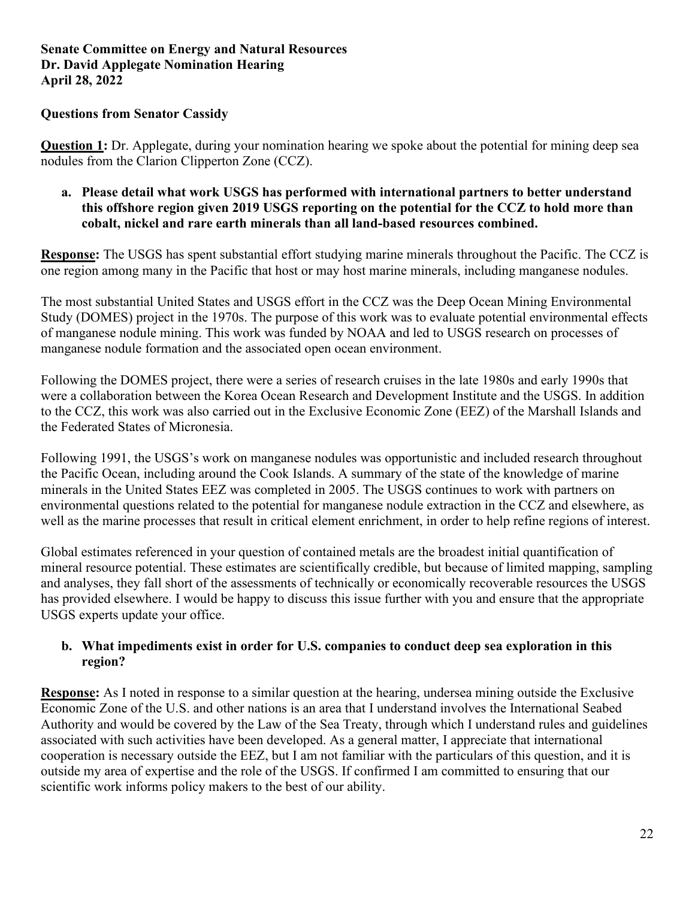## **Questions from Senator Cassidy**

**Question 1:** Dr. Applegate, during your nomination hearing we spoke about the potential for mining deep sea nodules from the Clarion Clipperton Zone (CCZ).

#### **a. Please detail what work USGS has performed with international partners to better understand this offshore region given 2019 USGS reporting on the potential for the CCZ to hold more than cobalt, nickel and rare earth minerals than all land-based resources combined.**

**Response:** The USGS has spent substantial effort studying marine minerals throughout the Pacific. The CCZ is one region among many in the Pacific that host or may host marine minerals, including manganese nodules.

The most substantial United States and USGS effort in the CCZ was the Deep Ocean Mining Environmental Study (DOMES) project in the 1970s. The purpose of this work was to evaluate potential environmental effects of manganese nodule mining. This work was funded by NOAA and led to USGS research on processes of manganese nodule formation and the associated open ocean environment.

Following the DOMES project, there were a series of research cruises in the late 1980s and early 1990s that were a collaboration between the Korea Ocean Research and Development Institute and the USGS. In addition to the CCZ, this work was also carried out in the Exclusive Economic Zone (EEZ) of the Marshall Islands and the Federated States of Micronesia.

Following 1991, the USGS's work on manganese nodules was opportunistic and included research throughout the Pacific Ocean, including around the Cook Islands. A summary of the state of the knowledge of marine minerals in the United States EEZ was completed in 2005. The USGS continues to work with partners on environmental questions related to the potential for manganese nodule extraction in the CCZ and elsewhere, as well as the marine processes that result in critical element enrichment, in order to help refine regions of interest.

Global estimates referenced in your question of contained metals are the broadest initial quantification of mineral resource potential. These estimates are scientifically credible, but because of limited mapping, sampling and analyses, they fall short of the assessments of technically or economically recoverable resources the USGS has provided elsewhere. I would be happy to discuss this issue further with you and ensure that the appropriate USGS experts update your office.

# **b. What impediments exist in order for U.S. companies to conduct deep sea exploration in this region?**

**Response:** As I noted in response to a similar question at the hearing, undersea mining outside the Exclusive Economic Zone of the U.S. and other nations is an area that I understand involves the International Seabed Authority and would be covered by the Law of the Sea Treaty, through which I understand rules and guidelines associated with such activities have been developed. As a general matter, I appreciate that international cooperation is necessary outside the EEZ, but I am not familiar with the particulars of this question, and it is outside my area of expertise and the role of the USGS. If confirmed I am committed to ensuring that our scientific work informs policy makers to the best of our ability.